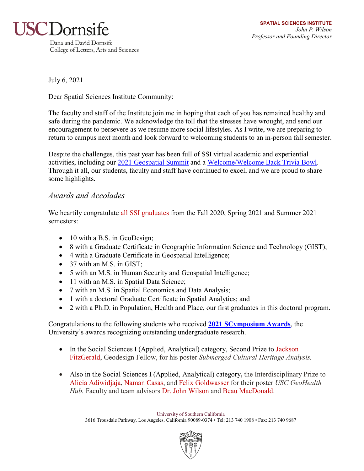

July 6, 2021

Dear Spatial Sciences Institute Community:

The faculty and staff of the Institute join me in hoping that each of you has remained healthy and safe during the pandemic. We acknowledge the toll that the stresses have wrought, and send our encouragement to persevere as we resume more social lifestyles. As I write, we are preparing to return to campus next month and look forward to welcoming students to an in-person fall semester.

Despite the challenges, this past year has been full of SSI virtual academic and experiential activities, including our [2021 Geospatial Summit](https://spatial.usc.edu/events/2021-los-angeles-geospatial-summit/) and a [Welcome/Welcome Back Trivia Bowl.](https://spatial.usc.edu/events/ssi-welcome-welcome-back-trivia-bowl/) Through it all, our students, faculty and staff have continued to excel, and we are proud to share some highlights.

# *Awards and Accolades*

We heartily congratulate all SSI graduates from the Fall 2020, Spring 2021 and Summer 2021 semesters:

- 10 with a B.S. in GeoDesign;
- 8 with a Graduate Certificate in Geographic Information Science and Technology (GIST);
- 4 with a Graduate Certificate in Geospatial Intelligence;
- 37 with an M.S. in GIST;
- 5 with an M.S. in Human Security and Geospatial Intelligence;
- 11 with an M.S. in Spatial Data Science;
- 7 with an M.S. in Spatial Economics and Data Analysis;
- 1 with a doctoral Graduate Certificate in Spatial Analytics; and
- 2 with a Ph.D. in Population, Health and Place, our first graduates in this doctoral program.

Congratulations to the following students who received **[2021 SCymposium Awards](https://ahf.usc.edu/events/scymposium/awards/)**, the University's awards recognizing outstanding undergraduate research.

- In the Social Sciences I (Applied, Analytical) category, Second Prize to Jackson FitzGerald, Geodesign Fellow, for his poster *Submerged Cultural Heritage Analysis.*
- Also in the Social Sciences I (Applied, Analytical) category**,** the Interdisciplinary Prize to Alicia Adiwidjaja, Naman Casas, and Felix Goldwasser for their poster *USC GeoHealth Hub.* Faculty and team advisors Dr. John Wilson and Beau MacDonald.

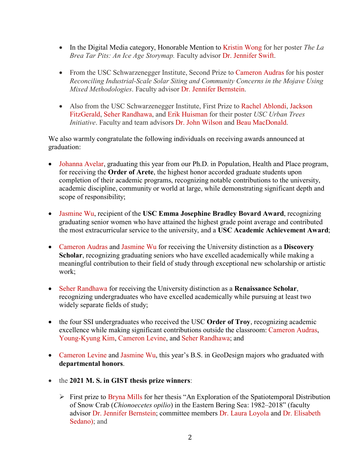- In the Digital Media category, Honorable Mention to Kristin Wong for her poster *The La Brea Tar Pits: An Ice Age Storymap.* Faculty advisor Dr. Jennifer Swift.
- From the USC Schwarzenegger Institute, Second Prize to Cameron Audras for his poster *Reconciling Industrial-Scale Solar Siting and Community Concerns in the Mojave Using Mixed Methodologies*. Faculty advisor Dr. Jennifer Bernstein.
- Also from the USC Schwarzenegger Institute, First Prize to Rachel Ablondi, Jackson FitzGerald, Seher Randhawa, and Erik Huisman for their poster *USC Urban Trees Initiative*. Faculty and team advisors Dr. John Wilson and Beau MacDonald.

We also warmly congratulate the following individuals on receiving awards announced at graduation:

- Johanna Avelar, graduating this year from our Ph.D. in Population, Health and Place program, for receiving the **Order of Arete**, the highest honor accorded graduate students upon completion of their academic programs, recognizing notable contributions to the university, academic discipline, community or world at large, while demonstrating significant depth and scope of responsibility;
- Jasmine Wu, recipient of the **USC Emma Josephine Bradley Bovard Award**, recognizing graduating senior women who have attained the highest grade point average and contributed the most extracurricular service to the university, and a **USC Academic Achievement Award**;
- Cameron Audras and Jasmine Wu for receiving the University distinction as a **Discovery Scholar**, recognizing graduating seniors who have excelled academically while making a meaningful contribution to their field of study through exceptional new scholarship or artistic work;
- Seher Randhawa for receiving the University distinction as a **Renaissance Scholar**, recognizing undergraduates who have excelled academically while pursuing at least two widely separate fields of study;
- the four SSI undergraduates who received the USC **Order of Troy**, recognizing academic excellence while making significant contributions outside the classroom: Cameron Audras, Young-Kyung Kim, Cameron Levine, and Seher Randhawa; and
- Cameron Levine and Jasmine Wu, this year's B.S. in GeoDesign majors who graduated with **departmental honors**.
- the **2021 M. S. in GIST thesis prize winners**:
	- $\triangleright$  First prize to Bryna Mills for her thesis "An Exploration of the Spatiotemporal Distribution of Snow Crab (*Chionoecetes opilio*) in the Eastern Bering Sea: 1982–2018" (faculty advisor Dr. Jennifer Bernstein; committee members Dr. Laura Loyola and Dr. Elisabeth Sedano); and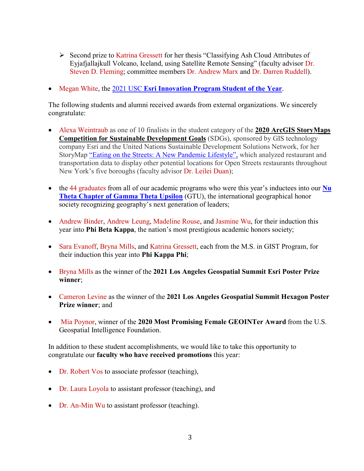- Second prize to Katrina Gressett for her thesis "Classifying Ash Cloud Attributes of Eyjafjallajkull Volcano, Iceland, using Satellite Remote Sensing" (faculty advisor Dr. Steven D. Fleming; committee members Dr. Andrew Marx and Dr. Darren Ruddell).
- Megan White, the 2021 USC **[Esri Innovation Program Student of the Year](https://spatial.usc.edu/megan-white-is-ssis-2021-esri-innovation-program-student-of-the-year/)**.

The following students and alumni received awards from external organizations. We sincerely congratulate:

- Alexa Weintraub as one of 10 finalists in the student category of the **[2020 ArcGIS StoryMaps](https://www.esri.com/en-us/arcgis/products/arcgis-storymaps/contest/overview)  [Competition for Sustainable Development Goals](https://www.esri.com/en-us/arcgis/products/arcgis-storymaps/contest/overview)** (SDGs), sponsored by GIS technology company Esri and the United Nations Sustainable Development Solutions Network, for her StoryMap ["Eating on the Streets: A New Pandemic Lifestyle",](https://dornsife.usc.edu/news/stories/3446/spatial-sciences-student-helps-nyc-move-outdoors/) which analyzed restaurant and transportation data to display other potential locations for Open Streets restaurants throughout New York's five boroughs (faculty advisor Dr. Leilei Duan);
- the 44 graduates from all of our academic programs who were this year's inductees into our **Nu [Theta Chapter of Gamma Theta Upsilon](https://spatial.usc.edu/usc-spatial-founds-new-gamma-theta-upsilon-chapter/)** (GTU), the international geographical honor society recognizing geography's next generation of leaders;
- Andrew Binder, Andrew Leung, Madeline Rouse, and Jasmine Wu, for their induction this year into **Phi Beta Kappa**, the nation's most prestigious academic honors society;
- Sara Evanoff, Bryna Mills, and Katrina Gressett, each from the M.S. in GIST Program, for their induction this year into **Phi Kappa Phi**;
- Bryna Mills as the winner of the **2021 Los Angeles Geospatial Summit Esri Poster Prize winner**;
- Cameron Levine as the winner of the **2021 Los Angeles Geospatial Summit Hexagon Poster Prize winner**; and
- Mia Poynor, winner of the **2020 Most Promising Female GEOINTer Award** from the U.S. Geospatial Intelligence Foundation.

In addition to these student accomplishments, we would like to take this opportunity to congratulate our **faculty who have received promotions** this year:

- Dr. Robert Vos to associate professor (teaching),
- Dr. Laura Loyola to assistant professor (teaching), and
- Dr. An-Min Wu to assistant professor (teaching).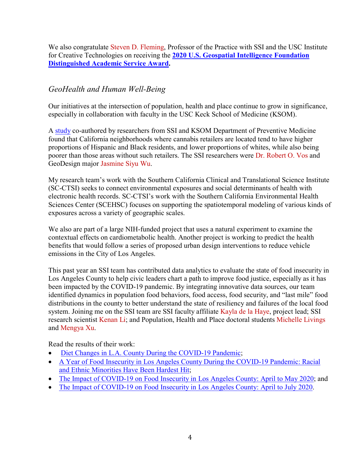We also congratulate Steven D. Fleming, Professor of the Practice with SSI and the USC Institute for Creative Technologies on receiving the **[2020 U.S. Geospatial Intelligence Foundation](https://spatial.usc.edu/continuing-a-lifetime-of-service-2/)  [Distinguished Academic Service Award.](https://spatial.usc.edu/continuing-a-lifetime-of-service-2/)**

# *GeoHealth and Human Well-Being*

Our initiatives at the intersection of population, health and place continue to grow in significance, especially in collaboration with faculty in the USC Keck School of Medicine (KSOM).

A [study](https://www.sciencedirect.com/science/article/pii/S221133552030125X?via%3Dihub#s0080) co-authored by researchers from SSI and KSOM Department of Preventive Medicine found that California neighborhoods where cannabis retailers are located tend to have higher proportions of Hispanic and Black residents, and lower proportions of whites, while also being poorer than those areas without such retailers. The SSI researchers were Dr. Robert O. Vos and GeoDesign major Jasmine Siyu Wu.

My research team's work with the Southern California Clinical and Translational Science Institute (SC-CTSI) seeks to connect environmental exposures and social determinants of health with electronic health records. SC-CTSI's work with the Southern California Environmental Health Sciences Center (SCEHSC) focuses on supporting the spatiotemporal modeling of various kinds of exposures across a variety of geographic scales.

We also are part of a large NIH-funded project that uses a natural experiment to examine the contextual effects on cardiometabolic health. Another project is working to predict the health benefits that would follow a series of proposed urban design interventions to reduce vehicle emissions in the City of Los Angeles.

This past year an SSI team has contributed data analytics to evaluate the state of food insecurity in Los Angeles County to help civic leaders chart a path to improve food justice, especially as it has been impacted by the COVID-19 pandemic. By integrating innovative data sources, our team identified dynamics in population food behaviors, food access, food security, and "last mile" food distributions in the county to better understand the state of resiliency and failures of the local food system. Joining me on the SSI team are SSI faculty affiliate Kayla de la Haye, project lead; SSI research scientist Kenan Li; and Population, Health and Place doctoral students Michelle Livings and Mengya Xu.

Read the results of their work:

- [Diet Changes in L.A. County During the COVID-19 Pandemic;](https://publicexchange.usc.edu/wp-content/uploads/2021/05/Diet-Changes-In-L.A.-County-During-The-COVID-19-Pandemic.pdf)
- [A Year of Food Insecurity in Los Angeles County During the COVID-19 Pandemic: Racial](https://publicexchange.usc.edu/wp-content/uploads/2021/02/A-Year-of-Food-Insecurity-in-Los-Angeles-County.pdf)  [and Ethnic Minorities Have Been Hardest Hit;](https://publicexchange.usc.edu/wp-content/uploads/2021/02/A-Year-of-Food-Insecurity-in-Los-Angeles-County.pdf)
- [The Impact of COVID-19 on Food Insecurity in Los Angeles County: April to May 2020;](https://publicexchange.usc.edu/wp-content/uploads/2020/07/USCLAC-Food-Insecurity-Report-April-%E2%80%93-May-2020.pdf) and
- [The Impact of COVID-19 on Food Insecurity in Los Angeles County: April to July 2020.](https://publicexchange.usc.edu/wp-content/uploads/2021/02/USC_LAC_Food_Insecurity_Report_April-July_2020.pdf)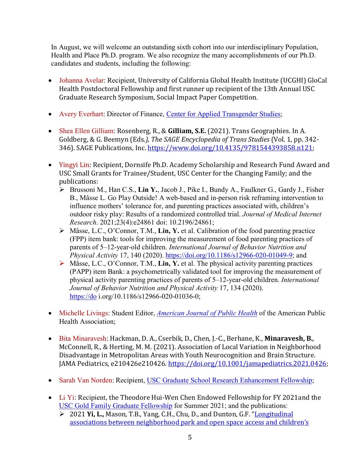In August, we will welcome an outstanding sixth cohort into our interdisciplinary Population, Health and Place Ph.D. program. We also recognize the many accomplishments of our Ph.D. candidates and students, including the following:

- Johanna Avelar: Recipient, University of California Global Health Institute (UCGHI) GloCal Health Postdoctoral Fellowship and first runner up recipient of the 13th Annual USC Graduate Research Symposium, Social Impact Paper Competition.
- Avery Everhart: Director of Finance, [Center for Applied Transgender Studies;](https://www.appliedtransstudies.org/)
- Shea Ellen Gilliam: Rosenberg, R., & **Gilliam, S.E.** (2021). Trans Geographies. In A. Goldberg, & G. Beemyn (Eds*.), The SAGE Encyclopedia of Trans Studies* (Vol. 1, pp. 342- 346). SAGE Publications, Inc. [https://www.doi.org/10.4135/9781544393858.n121;](https://www.doi.org/10.4135/9781544393858.n121)
- Yingyi Lin: Recipient, Dornsife Ph.D. Academy Scholarship and Research Fund Award and USC Small Grants for Trainee/Student, USC Center for the Changing Family; and the publications:
	- Brussoni M., Han C.S., **Lin Y.**, Jacob J., Pike I., Bundy A., Faulkner G., Gardy J., Fisher B., Mâsse L. Go Play Outside! A web-based and in-person risk reframing intervention to influence mothers' tolerance for, and parenting practices associated with, children's outdoor risky play: Results of a randomized controlled trial. *Journal of Medical Internet Research*. 2021;23(4):e24861 doi: 10.2196/24861;
	- Mâsse, L.C., O'Connor, T.M., **Lin, Y.** et al. Calibration of the food parenting practice (FPP) item bank: tools for improving the measurement of food parenting practices of parents of 5–12-year-old children. *International Journal of Behavior Nutrition and Physical Activity* 17, 140 (2020). [https://doi.org/10.1186/s12966-020-01049-9;](https://doi.org/10.1186/s12966-020-01049-9) and
	- Mâsse, L.C., O'Connor, T.M., **Lin, Y.** et al. The physical activity parenting practices (PAPP) item Bank: a psychometrically validated tool for improving the measurement of physical activity parenting practices of parents of 5–12-year-old children. *International Journal of Behavior Nutrition and Physical Activity* 17, 134 (2020). [https://do](https://do/) i.org/10.1186/s12966-020-01036-0;
- Michelle Livings: Student Editor, *[American Journal of Public Health](https://ajph.aphapublications.org/)* of the American Public Health Association;
- Bita Minaravesh: Hackman, D. A., Cserbik, D., Chen, J.-C., Berhane, K., **Minaravesh, B.**, McConnell, R., & Herting, M. M. (2021). Association of Local Variation in Neighborhood Disadvantage in Metropolitan Areas with Youth Neurocognition and Brain Structure. JAMA Pediatrics, e210426e210426. [https://doi.org/10.1001/jamapediatrics.2021.0426;](https://doi.org/10.1001/jamapediatrics.2021.0426)
- Sarah Van Norden: Recipient, [USC Graduate School Research Enhancement Fellowship;](https://awardsdatabase.usc.edu/app/detail.asp?FellowshipID=131)
- Li Yi: Recipient, the Theodore Hui-Wen Chen Endowed Fellowship for FY 2021and the [USC Gold Family Graduate Fellowship](https://dornsife.usc.edu/assets/sites/1244/docs/Dornsife_Fellowships_Gold_Hovel_DelAmo.pdf) for Summer 2021; and the publications:
	- 2021 **Yi, L.,** Mason, T.B., Yang, C.H., Chu, D., and Dunton, G.F. ["Longitudinal](https://journals.humankinetics.com/view/journals/jpah/aop/article-10.1123-jpah.2021-0177/article-10.1123-jpah.2021-0177.xml)  [associations between neighborhood park and open space access and children's](https://journals.humankinetics.com/view/journals/jpah/aop/article-10.1123-jpah.2021-0177/article-10.1123-jpah.2021-0177.xml)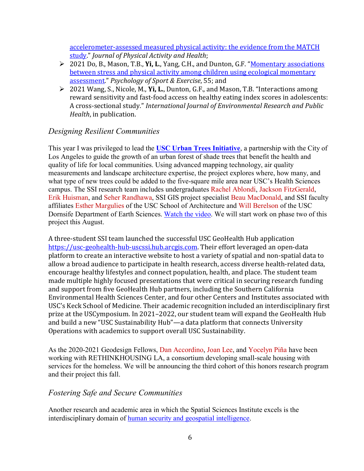[accelerometer-assessed measured physical activity: the](https://journals.humankinetics.com/view/journals/jpah/aop/article-10.1123-jpah.2021-0177/article-10.1123-jpah.2021-0177.xml) evidence from the MATCH [study.](https://journals.humankinetics.com/view/journals/jpah/aop/article-10.1123-jpah.2021-0177/article-10.1123-jpah.2021-0177.xml)" *Journal of Physical Activity and Health*;

- 2021 Do, B., Mason, T.B., **Yi, L**., Yang, C.H., and Dunton, G.F. ["Momentary associations](https://www.sciencedirect.com/science/article/pii/S1469029221000534?via%3Dihub)  [between stress and physical activity among children using ecological momentary](https://www.sciencedirect.com/science/article/pii/S1469029221000534?via%3Dihub)  [assessment."](https://www.sciencedirect.com/science/article/pii/S1469029221000534?via%3Dihub) *Psychology of Sport & Exercise*, 55; and
- 2021 Wang, S., Nicole, M., **Yi, L.**, Dunton, G.F., and Mason, T.B. "Interactions among reward sensitivity and fast-food access on healthy eating index scores in adolescents: A cross-sectional study." *International Journal of Environmental Research and Public Health*, in publication.

### *Designing Resilient Communities*

This year I was privileged to lead the **[USC Urban Trees Initiative](https://publicexchange.usc.edu/urban-trees-initiative/)**, a partnership with the City of Los Angeles to guide the growth of an urban forest of shade trees that benefit the health and quality of life for local communities. Using advanced mapping technology, air quality measurements and landscape architecture expertise, the project explores where, how many, and what type of new trees could be added to the five-square mile area near USC's Health Sciences campus. The SSI research team includes undergraduates Rachel Ablondi, Jackson FitzGerald, Erik Huisman, and Seher Randhawa, SSI GIS project specialist Beau MacDonald, and SSI faculty affiliates Esther Margulies of the USC School of Architecture and Will Berelson of the USC Dornsife Department of Earth Sciences. [Watch the video.](https://www.youtube.com/watch?v=CQXSOHPXRAw&t=7s&ab_channel=USCDornsifeCollegeofLetters%2CArtsandSciences) We will start work on phase two of this project this August.

A three-student SSI team launched the successful USC GeoHealth Hub application [https://usc-geohealth-hub-uscssi.hub.arcgis.com.](https://usc-geohealth-hub-uscssi.hub.arcgis.com/) Their effort leveraged an open-data platform to create an interactive website to host a variety of spatial and non-spatial data to allow a broad audience to participate in health research, access diverse health-related data, encourage healthy lifestyles and connect population, health, and place. The student team made multiple highly focused presentations that were critical in securing research funding and support from five GeoHealth Hub partners, including the Southern California Environmental Health Sciences Center, and four other Centers and Institutes associated with USC's Keck School of Medicine. Their academic recognition included an interdisciplinary first prize at the USCymposium. In 2021–2022, our student team will expand the GeoHealth Hub and build a new "USC Sustainability Hub"—a data platform that connects University Operations with academics to support overall USC Sustainability.

As the 2020-2021 Geodesign Fellows, Dan Accordino, Joan Lee, and Yocelyn Piña have been working with RETHINKHOUSING LA, a consortium developing small-scale housing with services for the homeless. We will be announcing the third cohort of this honors research program and their project this fall.

#### *Fostering Safe and Secure Communities*

Another research and academic area in which the Spatial Sciences Institute excels is the interdisciplinary domain of [human security and geospatial intelligence.](https://spatial.usc.edu/fostering-safe-communities/)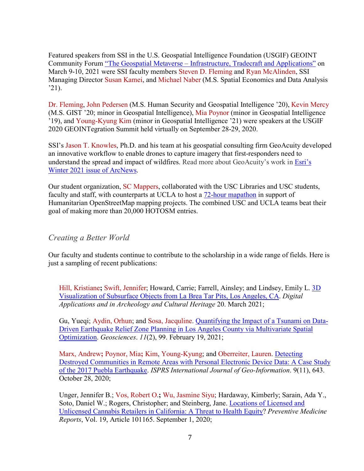Featured speakers from SSI in the U.S. Geospatial Intelligence Foundation (USGIF) GEOINT Community Forum "The Geospatial Metaverse – [Infrastructure, Tradecraft and Applications"](https://usgif.org/2021-the-geospatial-metaverse/) on March 9-10, 2021 were SSI faculty members Steven D. Fleming and Ryan McAlinden, SSI Managing Director Susan Kamei, and Michael Naber (M.S. Spatial Economics and Data Analysis  $'21$ ).

Dr. Fleming, John Pedersen (M.S. Human Security and Geospatial Intelligence '20), Kevin Mercy (M.S. GIST '20; minor in Geospatial Intelligence), Mia Poynor (minor in Geospatial Intelligence '19), and Young-Kyung Kim (minor in Geospatial Intelligence '21) were speakers at the USGIF 2020 GEOINTegration Summit held virtually on September 28-29, 2020.

SSI's Jason T. Knowles, Ph.D. and his team at his geospatial consulting firm GeoAcuity developed an innovative workflow to enable drones to capture imagery that first-responders need to understand the spread and impact of wildfires. Read more about GeoAcuity's work in [Esri's](https://www.esri.com/about/newsroom/arcnews/rapidly-processed-drone-imagery-improves-california-wildfire-response/)  [Winter 2021 issue of](https://www.esri.com/about/newsroom/arcnews/rapidly-processed-drone-imagery-improves-california-wildfire-response/) ArcNews.

Our student organization, SC Mappers, collaborated with the USC Libraries and USC students, faculty and staff, with counterparts at UCLA to host a  $72$ -hour mapathon in support of Humanitarian OpenStreetMap mapping projects. The combined USC and UCLA teams beat their goal of making more than 20,000 HOTOSM entries.

#### *Creating a Better World*

Our faculty and students continue to contribute to the scholarship in a wide range of fields. Here is just a sampling of recent publications:

Hill, Kristiane**;** Swift, Jennifer; Howard, Carrie; Farrell, Ainsley; and Lindsey, Emily L. [3D](https://www.sciencedirect.com/science/article/pii/S2212054820300667)  [Visualization of Subsurface Objects from La Brea Tar Pits, Los Angeles, CA.](https://www.sciencedirect.com/science/article/pii/S2212054820300667) *Digital Applications and in Archeology and Cultural Heritage* 20. March 2021;

Gu, Yueqi; Aydin, Orhun; and Sosa, Jacquline. [Quantifying the Impact of a Tsunami on Data-](https://www.mdpi.com/2076-3263/11/2/99)[Driven Earthquake Relief Zone Planning in Los Angeles County via Multivariate Spatial](https://www.mdpi.com/2076-3263/11/2/99)  [Optimization.](https://www.mdpi.com/2076-3263/11/2/99) *Geosciences*. *11*(2), 99. February 19, 2021;

Marx, Andrew**;** Poynor, Mia**;** Kim, Young-Kyung; and Oberreiter, Lauren. [Detecting](https://www.mdpi.com/2220-9964/9/11/643)  [Destroyed Communities in Remote Areas with Personal Electronic Device Data: A Case Study](https://www.mdpi.com/2220-9964/9/11/643)  [of the 2017 Puebla](https://www.mdpi.com/2220-9964/9/11/643) Earthquake. *ISPRS International Journal of Geo-Information*. 9(11), 643. October 28, 2020;

Unger, Jennifer B.; Vos, Robert O.**;** Wu, Jasmine Siyu; Hardaway, Kimberly; Sarain, Ada Y., Soto, Daniel W.; Rogers, Christopher; and Steinberg, Jane[. Locations of Licensed and](https://www.clinicalkey.com/#!/content/playContent/1-s2.0-S221133552030125X?returnurl=https:%2F%2Flinkinghub.elsevier.com%2Fretrieve%2Fpii%2FS221133552030125X%3Fshowall%3Dtrue&referrer=)  [Unlicensed Cannabis Retailers in California: A Threat to Health Equity?](https://www.clinicalkey.com/#!/content/playContent/1-s2.0-S221133552030125X?returnurl=https:%2F%2Flinkinghub.elsevier.com%2Fretrieve%2Fpii%2FS221133552030125X%3Fshowall%3Dtrue&referrer=) *Preventive Medicine Reports*, Vol. 19, Article 101165. September 1, 2020;